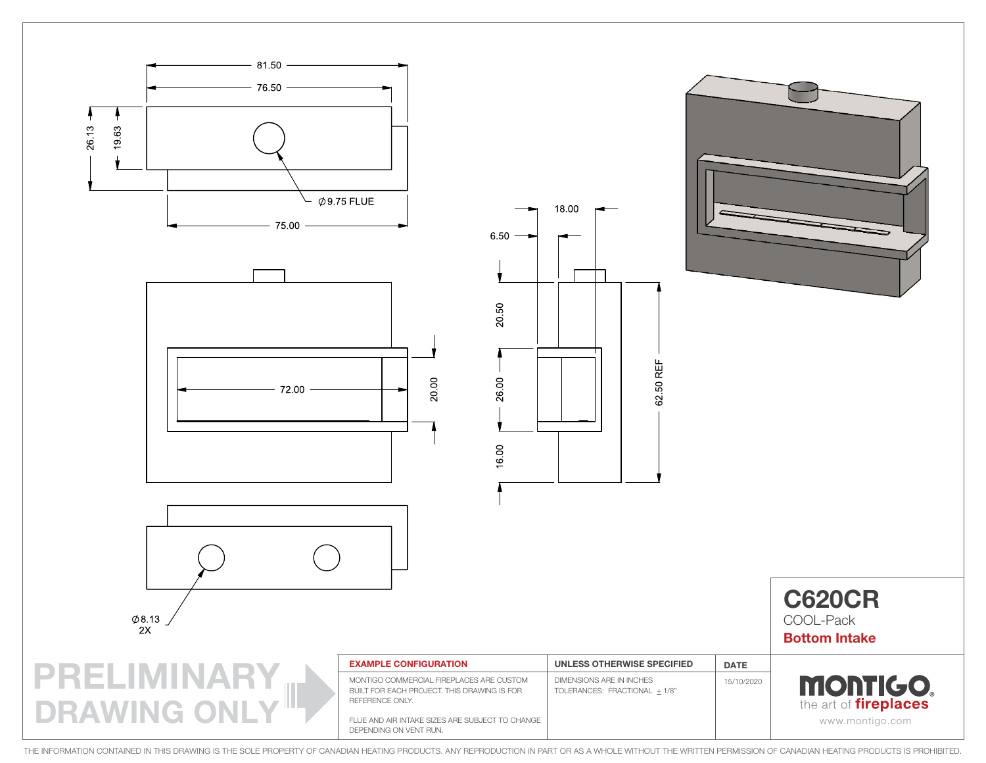

THE INFORMATION CONTAINED IN THIS DRAWING IS THE SOLE PROPERTY OF CANADIAN HEATING PRODUCTS. ANY REPRODUCTION IN PART OR AS A WHOLE WITHOUT THE WRITTEN PERMISSION OF CANADIAN HEATING PRODUCTS IS PROHIBITED.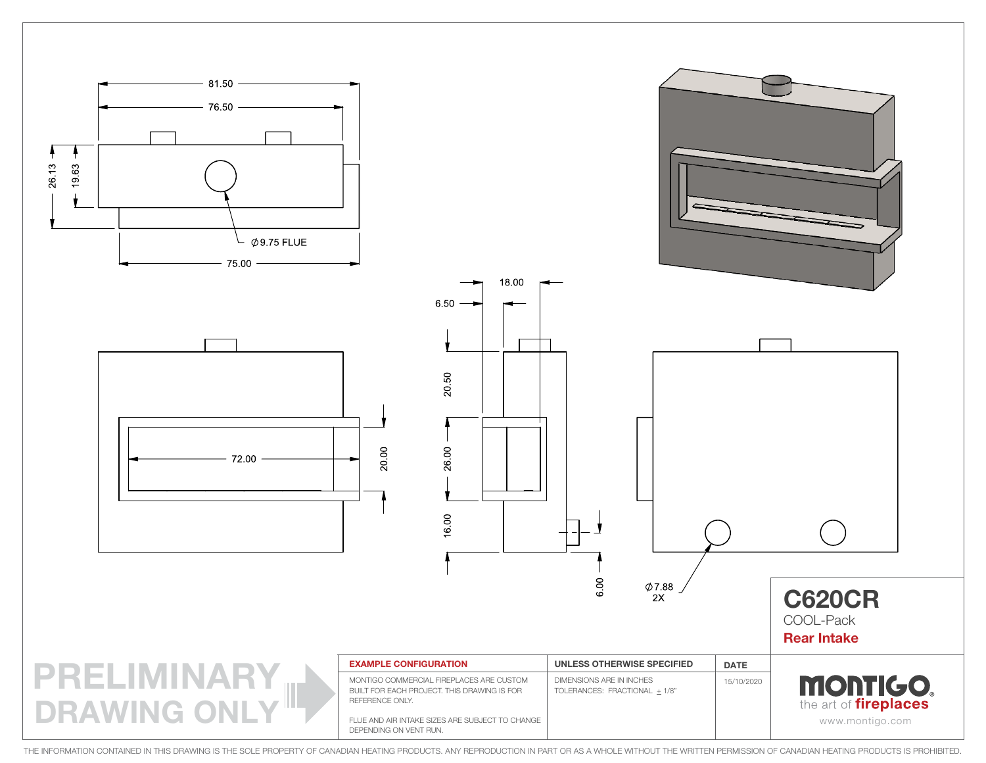

THE INFORMATION CONTAINED IN THIS DRAWING IS THE SOLE PROPERTY OF CANADIAN HEATING PRODUCTS. ANY REPRODUCTION IN PART OR AS A WHOLE WITHOUT THE WRITTEN PERMISSION OF CANADIAN HEATING PRODUCTS IS PROHIBITED.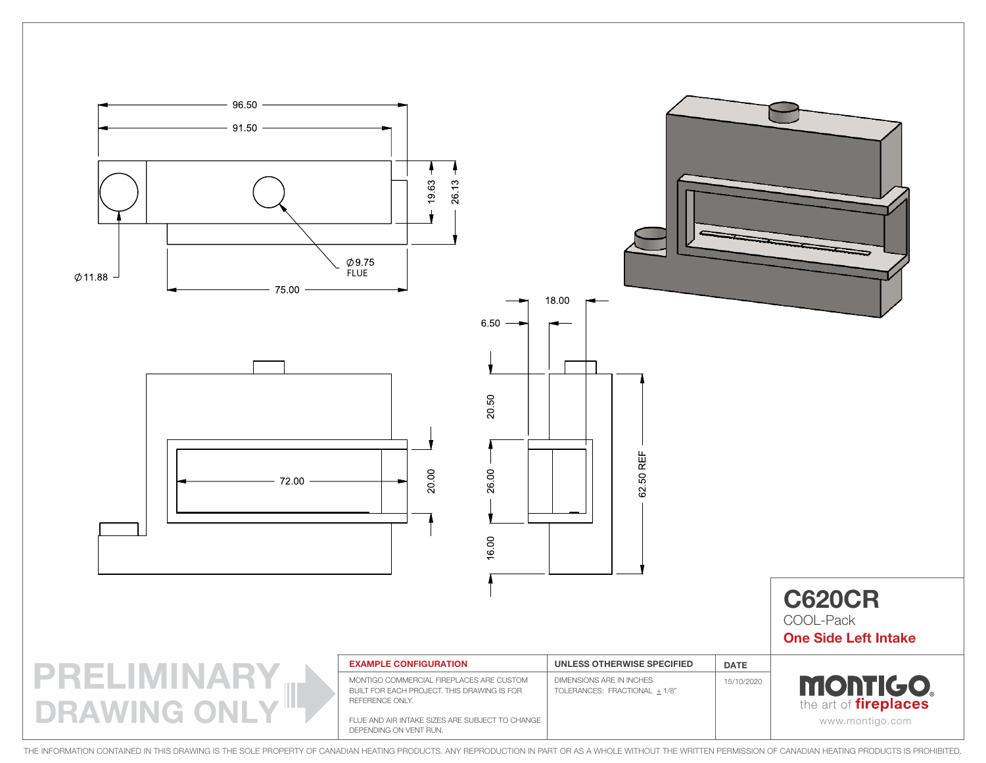

THE INFORMATION CONTAINED IN THIS DRAWING IS THE SOLE PROPERTY OF CANADIAN HEATING PRODUCTS. ANY REPRODUCTION IN PART OR AS A WHOLE WITHOUT THE WRITTEN PERMISSION OF CANADIAN HEATING PRODUCTS IS PROHIBITED.